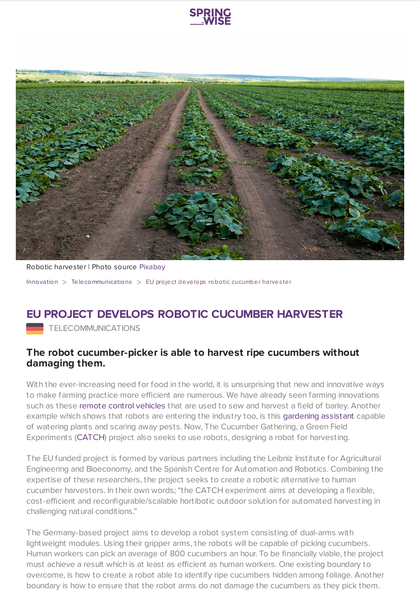



Robotic harvester | Photo source [Pixabay](https://pixabay.com/en/farm-field-nature-cucumber-3127785/) [Innovation](https://www.springwise.com/search?type=innovation) > [Telecommunications](https://www.springwise.com/search?type=innovation§or=telecoms-tech) > EU project develops robotic cucumber harves ter

## **EU PROJECT DEVELOPS ROBOTIC CUCUMBER HARVESTER**

TELECOMMUNICATIONS

## **The robot cucumber-picker is able to harvest ripe cucumbers without damaging them.**

With the ever-increasing need for food in the world, it is unsurprising that new and innovative ways to make farming practice more efficient are numerous. We have already seen farming innovations such as these remote control [vehicles](https://www.springwise.com/field-grown-harvested-using-remote-control-vehicles/) that are used to sew and harvest a field of barley. Another example which shows that robots are entering the industry too, is this [gardening](https://www.springwise.com/solar-garden-robot-waters-plants-scares-pests-away/) assistant capable of watering plants and scaring away pests. Now, The Cucumber Gathering, a Green Field Experiments ([CATCH](http://echord.eu/catch/)) project also seeks to use robots, designing a robot for harvesting.

The EU funded project is formed by various partners including the Leibniz Institute for Agricultural Engineering and Bioeconomy, and the Spanish Centre for Automation and Robotics. Combining the expertise of these researchers, the project seeks to create a robotic alternative to human cucumber harvesters. In their own words; "the CATCH experiment aims at developing a flexible, cost-efficient and reconfigurable/scalable hortibotic outdoor solution for automated harvesting in challenging natural conditions."

The Germany-based project aims to develop a robot system consisting of dual-arms with lightweight modules. Using their gripper arms, the robots will be capable of picking cucumbers. Human workers can pick an average of 800 cucumbers an hour. To be financially viable, the project must achieve a result which is at least as efficient as human workers. One existing boundary to overcome, is how to create a robot able to identify ripe cucumbers hidden among foliage. Another boundary is how to ensure that the robot arms do not damage the cucumbers as they pick them.